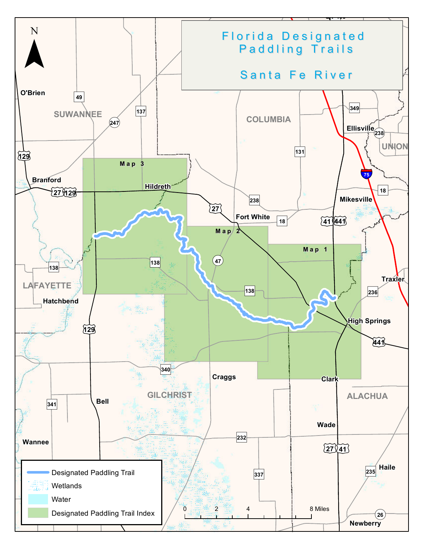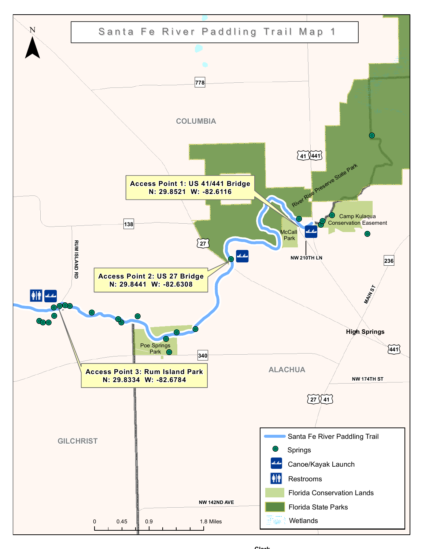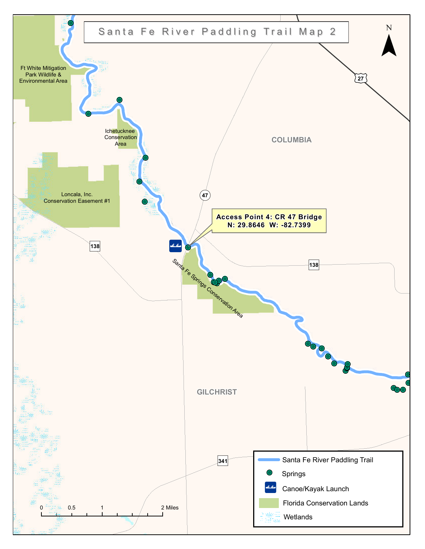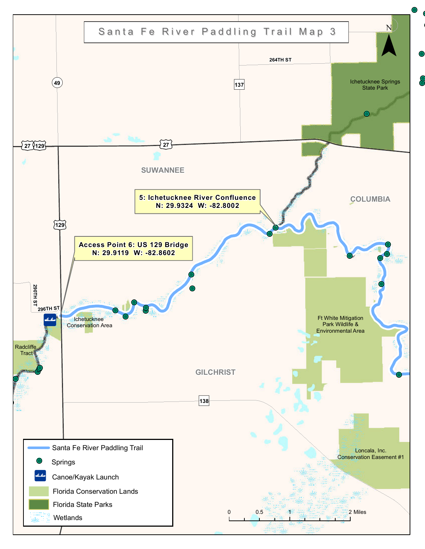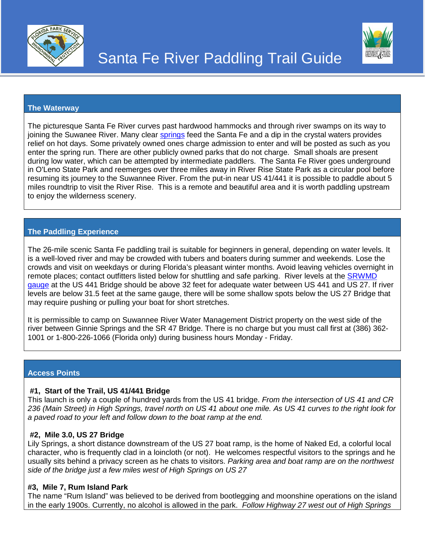



### **The Waterway**

The picturesque Santa Fe River curves past hardwood hammocks and through river swamps on its way to joining the Suwanee River. Many clear [springs](http://santaferiversprings.com/about_the_springs/) feed the Santa Fe and a dip in the crystal waters provides relief on hot days. Some privately owned ones charge admission to enter and will be posted as such as you enter the spring run. There are other publicly owned parks that do not charge. Small shoals are present during low water, which can be attempted by intermediate paddlers. The Santa Fe River goes underground in O'Leno State Park and reemerges over three miles away in River Rise State Park as a circular pool before resuming its journey to the Suwannee River. From the put-in near US 41/441 it is possible to paddle about 5 miles roundtrip to visit the River Rise. This is a remote and beautiful area and it is worth paddling upstream to enjoy the wilderness scenery.

### **The Paddling Experience**

The 26-mile scenic Santa Fe paddling trail is suitable for beginners in general, depending on water levels. It is a well-loved river and may be crowded with tubers and boaters during summer and weekends. Lose the crowds and visit on weekdays or during Florida's pleasant winter months. Avoid leaving vehicles overnight in remote places; contact outfitters listed below for shuttling and safe parking. River levels at the [SRWMD](http://www.mysuwanneeriver.org/realtime/river-30-day.php?id=02321975)  [gauge](http://www.mysuwanneeriver.org/realtime/river-30-day.php?id=02321975) at the US 441 Bridge should be above 32 feet for adequate water between US 441 and US 27. If river levels are below 31.5 feet at the same gauge, there will be some shallow spots below the US 27 Bridge that may require pushing or pulling your boat for short stretches.

It is permissible to camp on Suwannee River Water Management District property on the west side of the river between Ginnie Springs and the SR 47 Bridge. There is no charge but you must call first at (386) 362- 1001 or 1-800-226-1066 (Florida only) during business hours Monday - Friday.

### **Access Points**

### **#1, Start of the Trail, US 41/441 Bridge**

This launch is only a couple of hundred yards from the US 41 bridge. *From the intersection of US 41 and CR 236 (Main Street) in High Springs, travel north on US 41 about one mile. As US 41 curves to the right look for a paved road to your left and follow down to the boat ramp at the end.*

### **#2, Mile 3.0, US 27 Bridge**

Lily Springs, a short distance downstream of the US 27 boat ramp, is the home of Naked Ed, a colorful local character, who is frequently clad in a loincloth (or not). He welcomes respectful visitors to the springs and he usually sits behind a privacy screen as he chats to visitors. *Parking area and boat ramp are on the northwest side of the bridge just a few miles west of High Springs on US 27*

#### **#3, Mile 7, Rum Island Park**

The name "Rum Island" was believed to be derived from bootlegging and moonshine operations on the island in the early 1900s. Currently, no alcohol is allowed in the park. *Follow Highway 27 west out of High Springs*